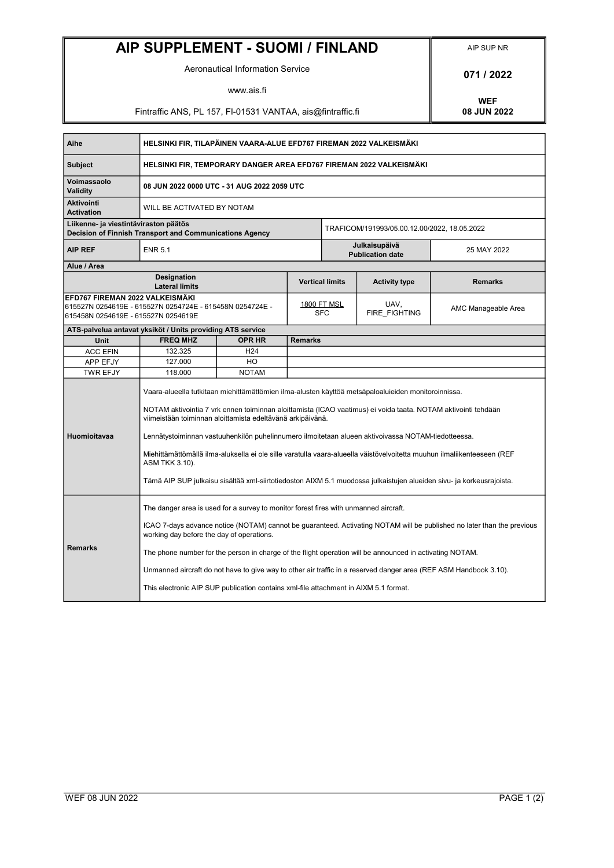## AIP SUPPLEMENT - SUOMI / FINLAND AIP SUP NR

Aeronautical Information Service **1988 1989 12022** 

www.ais.fi

Fintraffic ANS, PL 157, FI-01531 VANTAA, ais@fintraffic.fi

WEF<br>08 JUN 2022

| Aihe                                                                                                                               | HELSINKI FIR, TILAPÄINEN VAARA-ALUE EFD767 FIREMAN 2022 VALKEISMÄKI                                                                                                                                                                                                                                                                                                                                                                                                                                                                                                                                                                                                  |                 |                                  |                                              |                       |                     |
|------------------------------------------------------------------------------------------------------------------------------------|----------------------------------------------------------------------------------------------------------------------------------------------------------------------------------------------------------------------------------------------------------------------------------------------------------------------------------------------------------------------------------------------------------------------------------------------------------------------------------------------------------------------------------------------------------------------------------------------------------------------------------------------------------------------|-----------------|----------------------------------|----------------------------------------------|-----------------------|---------------------|
| <b>Subject</b>                                                                                                                     | HELSINKI FIR, TEMPORARY DANGER AREA EFD767 FIREMAN 2022 VALKEISMÄKI                                                                                                                                                                                                                                                                                                                                                                                                                                                                                                                                                                                                  |                 |                                  |                                              |                       |                     |
| Voimassaolo<br><b>Validity</b>                                                                                                     | 08 JUN 2022 0000 UTC - 31 AUG 2022 2059 UTC                                                                                                                                                                                                                                                                                                                                                                                                                                                                                                                                                                                                                          |                 |                                  |                                              |                       |                     |
| <b>Aktivointi</b><br><b>Activation</b>                                                                                             | WILL BE ACTIVATED BY NOTAM                                                                                                                                                                                                                                                                                                                                                                                                                                                                                                                                                                                                                                           |                 |                                  |                                              |                       |                     |
| Liikenne- ja viestintäviraston päätös<br>Decision of Finnish Transport and Communications Agency                                   |                                                                                                                                                                                                                                                                                                                                                                                                                                                                                                                                                                                                                                                                      |                 |                                  | TRAFICOM/191993/05.00.12.00/2022, 18.05.2022 |                       |                     |
| <b>AIP REF</b>                                                                                                                     | <b>ENR 5.1</b>                                                                                                                                                                                                                                                                                                                                                                                                                                                                                                                                                                                                                                                       |                 |                                  | Julkaisupäivä<br><b>Publication date</b>     |                       | 25 MAY 2022         |
| Alue / Area                                                                                                                        |                                                                                                                                                                                                                                                                                                                                                                                                                                                                                                                                                                                                                                                                      |                 |                                  |                                              |                       |                     |
| <b>Designation</b><br><b>Lateral limits</b>                                                                                        |                                                                                                                                                                                                                                                                                                                                                                                                                                                                                                                                                                                                                                                                      |                 | <b>Vertical limits</b>           |                                              | <b>Activity type</b>  | <b>Remarks</b>      |
| EFD767 FIREMAN 2022 VALKEISMÄKI<br>615527N 0254619E - 615527N 0254724E - 615458N 0254724E -<br>615458N 0254619E - 615527N 0254619E |                                                                                                                                                                                                                                                                                                                                                                                                                                                                                                                                                                                                                                                                      |                 | <u>1800 FT MSL</u><br><b>SFC</b> |                                              | UAV,<br>FIRE FIGHTING | AMC Manageable Area |
| ATS-palvelua antavat yksiköt / Units providing ATS service                                                                         |                                                                                                                                                                                                                                                                                                                                                                                                                                                                                                                                                                                                                                                                      |                 |                                  |                                              |                       |                     |
| Unit                                                                                                                               | <b>FREQ MHZ</b>                                                                                                                                                                                                                                                                                                                                                                                                                                                                                                                                                                                                                                                      | <b>OPR HR</b>   | <b>Remarks</b>                   |                                              |                       |                     |
| <b>ACC EFIN</b>                                                                                                                    | 132.325                                                                                                                                                                                                                                                                                                                                                                                                                                                                                                                                                                                                                                                              | H <sub>24</sub> |                                  |                                              |                       |                     |
| APP EFJY                                                                                                                           | 127.000                                                                                                                                                                                                                                                                                                                                                                                                                                                                                                                                                                                                                                                              | HO              |                                  |                                              |                       |                     |
| <b>TWR EFJY</b>                                                                                                                    | 118.000                                                                                                                                                                                                                                                                                                                                                                                                                                                                                                                                                                                                                                                              | <b>NOTAM</b>    |                                  |                                              |                       |                     |
| Huomioitavaa                                                                                                                       | Vaara-alueella tutkitaan miehittämättömien ilma-alusten käyttöä metsäpaloaluieiden monitoroinnissa.<br>NOTAM aktivointia 7 vrk ennen toiminnan aloittamista (ICAO vaatimus) ei voida taata. NOTAM aktivointi tehdään<br>viimeistään toiminnan aloittamista edeltävänä arkipäivänä.<br>Lennätystoiminnan vastuuhenkilön puhelinnumero ilmoitetaan alueen aktivoivassa NOTAM-tiedotteessa.<br>Miehittämättömällä ilma-aluksella ei ole sille varatulla vaara-alueella väistövelvoitetta muuhun ilmaliikenteeseen (REF<br><b>ASM TKK 3.10).</b><br>Tämä AIP SUP julkaisu sisältää xml-siirtotiedoston AIXM 5.1 muodossa julkaistujen alueiden sivu- ja korkeusrajoista. |                 |                                  |                                              |                       |                     |
| <b>Remarks</b>                                                                                                                     | The danger area is used for a survey to monitor forest fires with unmanned aircraft.<br>ICAO 7-days advance notice (NOTAM) cannot be quaranteed. Activating NOTAM will be published no later than the previous<br>working day before the day of operations.<br>The phone number for the person in charge of the flight operation will be announced in activating NOTAM.<br>Unmanned aircraft do not have to give way to other air traffic in a reserved danger area (REF ASM Handbook 3.10).<br>This electronic AIP SUP publication contains xml-file attachment in AIXM 5.1 format.                                                                                 |                 |                                  |                                              |                       |                     |